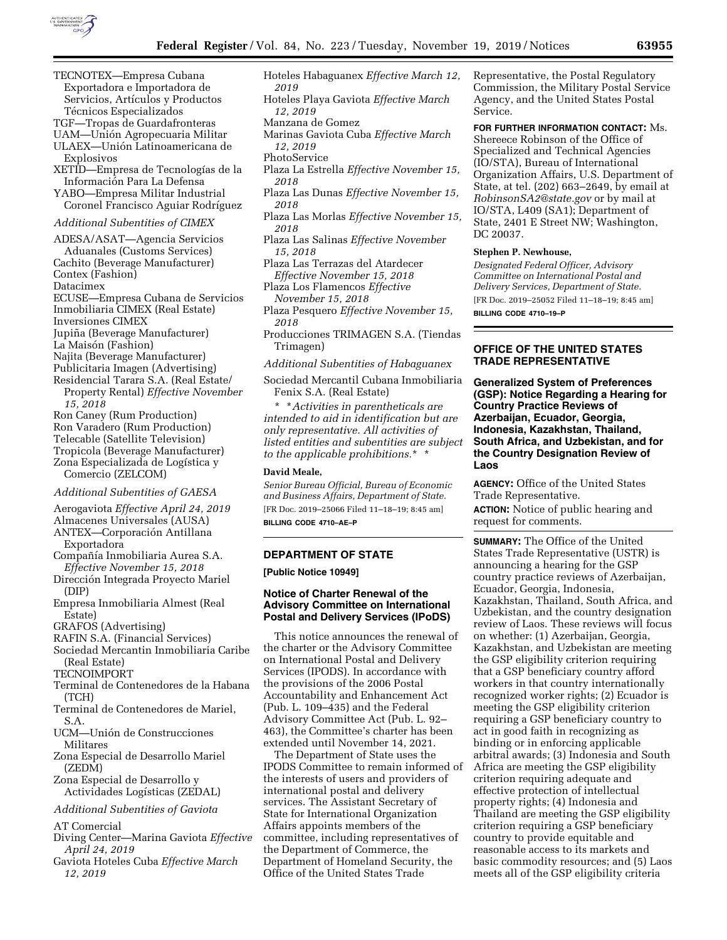

- TECNOTEX—Empresa Cubana Exportadora e Importadora de Servicios, Artículos y Productos Técnicos Especializados
- TGF—Tropas de Guardafronteras
- UAM—Unión Agropecuaria Militar ULAEX—Unión Latinoamericana de
- Explosivos
- XETID—Empresa de Tecnologías de la Información Para La Defensa
- YABO—Empresa Militar Industrial Coronel Francisco Aguiar Rodríguez

# *Additional Subentities of CIMEX*

ADESA/ASAT—Agencia Servicios Aduanales (Customs Services) Cachito (Beverage Manufacturer) Contex (Fashion) Datacimex ECUSE—Empresa Cubana de Servicios Inmobiliaria CIMEX (Real Estate) Inversiones CIMEX Jupiña (Beverage Manufacturer) La Maisón (Fashion) Najita (Beverage Manufacturer) Publicitaria Imagen (Advertising) Residencial Tarara S.A. (Real Estate/ Property Rental) *Effective November 15, 2018* 

Ron Caney (Rum Production) Ron Varadero (Rum Production) Telecable (Satellite Television) Tropicola (Beverage Manufacturer) Zona Especializada de Logística y Comercio (ZELCOM)

#### *Additional Subentities of GAESA*

Aerogaviota *Effective April 24, 2019* 

- Almacenes Universales (AUSA)
- ANTEX-Corporación Antillana Exportadora
- Compañía Inmobiliaria Aurea S.A. *Effective November 15, 2018*
- Dirección Integrada Proyecto Mariel (DIP)
- Empresa Inmobiliaria Almest (Real Estate)
- GRAFOS (Advertising)
- RAFIN S.A. (Financial Services)
- Sociedad Mercantin Inmobiliaria Caribe (Real Estate)

TECNOIMPORT

- Terminal de Contenedores de la Habana (TCH)
- Terminal de Contenedores de Mariel, S.A.
- UCM-Unión de Construcciones Militares
- Zona Especial de Desarrollo Mariel (ZEDM)
- Zona Especial de Desarrollo y Actividades Logísticas (ZEDAL)

*Additional Subentities of Gaviota* 

AT Comercial

- Diving Center—Marina Gaviota *Effective April 24, 2019*
- Gaviota Hoteles Cuba *Effective March 12, 2019*
- Hoteles Habaguanex *Effective March 12, 2019*
- Hoteles Playa Gaviota *Effective March 12, 2019*
- Manzana de Gomez
- Marinas Gaviota Cuba *Effective March 12, 2019*
- PhotoService
- Plaza La Estrella *Effective November 15, 2018*
- Plaza Las Dunas *Effective November 15, 2018*
- Plaza Las Morlas *Effective November 15, 2018*
- Plaza Las Salinas *Effective November 15, 2018*
- Plaza Las Terrazas del Atardecer *Effective November 15, 2018*
- Plaza Los Flamencos *Effective November 15, 2018*
- Plaza Pesquero *Effective November 15, 2018*
- Producciones TRIMAGEN S.A. (Tiendas Trimagen)
- *Additional Subentities of Habaguanex*

Sociedad Mercantil Cubana Inmobiliaria Fenix S.A. (Real Estate)

\* \**Activities in parentheticals are intended to aid in identification but are only representative. All activities of listed entities and subentities are subject to the applicable prohibitions.*\* \*

#### **David Meale,**

*Senior Bureau Official, Bureau of Economic and Business Affairs, Department of State.*  [FR Doc. 2019–25066 Filed 11–18–19; 8:45 am] **BILLING CODE 4710–AE–P** 

## **DEPARTMENT OF STATE**

**[Public Notice 10949]** 

# **Notice of Charter Renewal of the Advisory Committee on International Postal and Delivery Services (IPoDS)**

This notice announces the renewal of the charter or the Advisory Committee on International Postal and Delivery Services (IPODS). In accordance with the provisions of the 2006 Postal Accountability and Enhancement Act (Pub. L. 109–435) and the Federal Advisory Committee Act (Pub. L. 92– 463), the Committee's charter has been extended until November 14, 2021.

The Department of State uses the IPODS Committee to remain informed of the interests of users and providers of international postal and delivery services. The Assistant Secretary of State for International Organization Affairs appoints members of the committee, including representatives of the Department of Commerce, the Department of Homeland Security, the Office of the United States Trade

Representative, the Postal Regulatory Commission, the Military Postal Service Agency, and the United States Postal Service.

**FOR FURTHER INFORMATION CONTACT:** Ms. Shereece Robinson of the Office of Specialized and Technical Agencies (IO/STA), Bureau of International Organization Affairs, U.S. Department of State, at tel. (202) 663–2649, by email at *[RobinsonSA2@state.gov](mailto:RobinsonSA2@state.gov)* or by mail at IO/STA, L409 (SA1); Department of State, 2401 E Street NW; Washington, DC 20037.

#### **Stephen P. Newhouse,**

*Designated Federal Officer, Advisory Committee on International Postal and Delivery Services, Department of State.*  [FR Doc. 2019–25052 Filed 11–18–19; 8:45 am]

**BILLING CODE 4710–19–P** 

# **OFFICE OF THE UNITED STATES TRADE REPRESENTATIVE**

**Generalized System of Preferences (GSP): Notice Regarding a Hearing for Country Practice Reviews of Azerbaijan, Ecuador, Georgia, Indonesia, Kazakhstan, Thailand, South Africa, and Uzbekistan, and for the Country Designation Review of Laos** 

**AGENCY:** Office of the United States Trade Representative. **ACTION:** Notice of public hearing and request for comments.

**SUMMARY:** The Office of the United States Trade Representative (USTR) is announcing a hearing for the GSP country practice reviews of Azerbaijan, Ecuador, Georgia, Indonesia, Kazakhstan, Thailand, South Africa, and Uzbekistan, and the country designation review of Laos. These reviews will focus on whether: (1) Azerbaijan, Georgia, Kazakhstan, and Uzbekistan are meeting the GSP eligibility criterion requiring that a GSP beneficiary country afford workers in that country internationally recognized worker rights; (2) Ecuador is meeting the GSP eligibility criterion requiring a GSP beneficiary country to act in good faith in recognizing as binding or in enforcing applicable arbitral awards; (3) Indonesia and South Africa are meeting the GSP eligibility criterion requiring adequate and effective protection of intellectual property rights; (4) Indonesia and Thailand are meeting the GSP eligibility criterion requiring a GSP beneficiary country to provide equitable and reasonable access to its markets and basic commodity resources; and (5) Laos meets all of the GSP eligibility criteria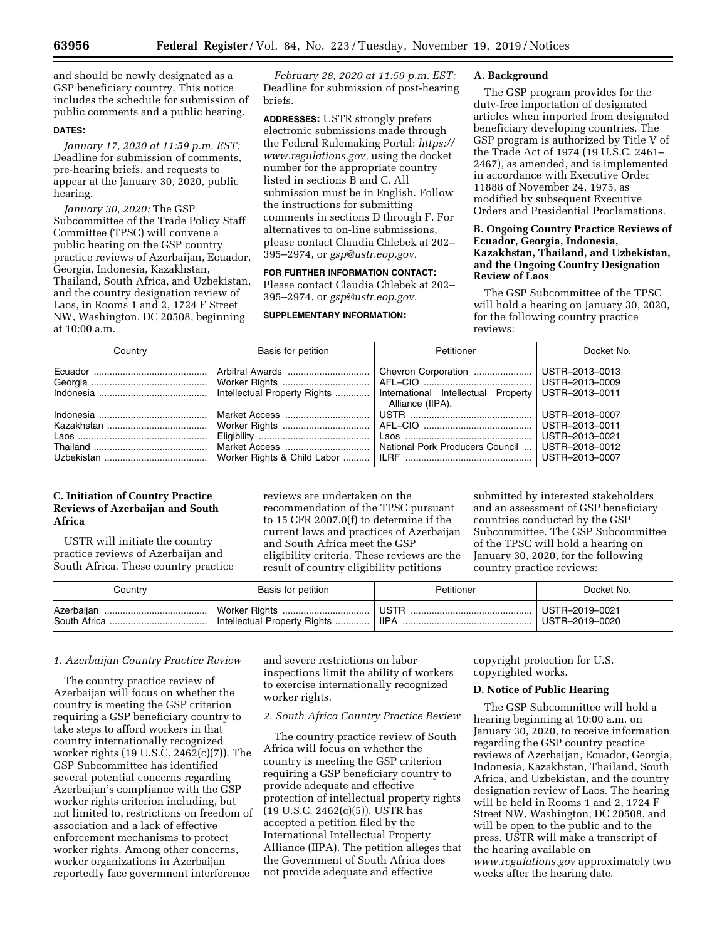and should be newly designated as a GSP beneficiary country. This notice includes the schedule for submission of public comments and a public hearing.

## **DATES:**

*January 17, 2020 at 11:59 p.m. EST:*  Deadline for submission of comments, pre-hearing briefs, and requests to appear at the January 30, 2020, public hearing.

*January 30, 2020:* The GSP Subcommittee of the Trade Policy Staff Committee (TPSC) will convene a public hearing on the GSP country practice reviews of Azerbaijan, Ecuador, Georgia, Indonesia, Kazakhstan, Thailand, South Africa, and Uzbekistan, and the country designation review of Laos, in Rooms 1 and 2, 1724 F Street NW, Washington, DC 20508, beginning at 10:00 a.m.

*February 28, 2020 at 11:59 p.m. EST:*  Deadline for submission of post-hearing briefs.

**ADDRESSES:** USTR strongly prefers electronic submissions made through the Federal Rulemaking Portal: *[https://](https://www.regulations.gov)  [www.regulations.gov,](https://www.regulations.gov)* using the docket number for the appropriate country listed in sections B and C. All submission must be in English. Follow the instructions for submitting comments in sections D through F. For alternatives to on-line submissions, please contact Claudia Chlebek at 202– 395–2974, or *[gsp@ustr.eop.gov.](mailto:gsp@ustr.eop.gov)* 

**FOR FURTHER INFORMATION CONTACT:**  Please contact Claudia Chlebek at 202– 395–2974, or *[gsp@ustr.eop.gov.](mailto:gsp@ustr.eop.gov)* 

#### **SUPPLEMENTARY INFORMATION:**

### **A. Background**

The GSP program provides for the duty-free importation of designated articles when imported from designated beneficiary developing countries. The GSP program is authorized by Title V of the Trade Act of 1974 (19 U.S.C. 2461– 2467), as amended, and is implemented in accordance with Executive Order 11888 of November 24, 1975, as modified by subsequent Executive Orders and Presidential Proclamations.

# **B. Ongoing Country Practice Reviews of Ecuador, Georgia, Indonesia, Kazakhstan, Thailand, and Uzbekistan, and the Ongoing Country Designation Review of Laos**

The GSP Subcommittee of the TPSC will hold a hearing on January 30, 2020, for the following country practice reviews:

| Country | Basis for petition                                                  | Petitioner                      | Docket No.                       |
|---------|---------------------------------------------------------------------|---------------------------------|----------------------------------|
|         |                                                                     | Chevron Corporation             | USTR–2013–0013<br>USTR-2013-0009 |
|         | Intellectual Property Rights    International Intellectual Property | Alliance (IIPA).                | USTR–2013–0011                   |
|         |                                                                     |                                 | USTR-2018-0007                   |
|         |                                                                     |                                 | USTR-2013-0011                   |
|         |                                                                     |                                 | USTR-2013-0021                   |
|         | Market Access                                                       | National Pork Producers Council | USTR-2018-0012                   |
|         |                                                                     |                                 | USTR–2013–0007                   |

# **C. Initiation of Country Practice Reviews of Azerbaijan and South Africa**

USTR will initiate the country practice reviews of Azerbaijan and South Africa. These country practice

reviews are undertaken on the recommendation of the TPSC pursuant to 15 CFR 2007.0(f) to determine if the current laws and practices of Azerbaijan and South Africa meet the GSP eligibility criteria. These reviews are the result of country eligibility petitions

submitted by interested stakeholders and an assessment of GSP beneficiary countries conducted by the GSP Subcommittee. The GSP Subcommittee of the TPSC will hold a hearing on January 30, 2020, for the following country practice reviews:

| Country    | Basis for petition           | Petitioner  | Docket No.     |
|------------|------------------------------|-------------|----------------|
| Azerbaiian | Worker Rights                | <b>USTR</b> | USTR-2019-0021 |
|            | Intellectual Property Rights | <b>IIPA</b> | USTR-2019-0020 |

## *1. Azerbaijan Country Practice Review*

The country practice review of Azerbaijan will focus on whether the country is meeting the GSP criterion requiring a GSP beneficiary country to take steps to afford workers in that country internationally recognized worker rights (19 U.S.C. 2462(c)(7)). The GSP Subcommittee has identified several potential concerns regarding Azerbaijan's compliance with the GSP worker rights criterion including, but not limited to, restrictions on freedom of association and a lack of effective enforcement mechanisms to protect worker rights. Among other concerns, worker organizations in Azerbaijan reportedly face government interference

and severe restrictions on labor inspections limit the ability of workers to exercise internationally recognized worker rights.

## *2. South Africa Country Practice Review*

The country practice review of South Africa will focus on whether the country is meeting the GSP criterion requiring a GSP beneficiary country to provide adequate and effective protection of intellectual property rights (19 U.S.C. 2462(c)(5)). USTR has accepted a petition filed by the International Intellectual Property Alliance (IIPA). The petition alleges that the Government of South Africa does not provide adequate and effective

copyright protection for U.S. copyrighted works.

## **D. Notice of Public Hearing**

The GSP Subcommittee will hold a hearing beginning at 10:00 a.m. on January 30, 2020, to receive information regarding the GSP country practice reviews of Azerbaijan, Ecuador, Georgia, Indonesia, Kazakhstan, Thailand, South Africa, and Uzbekistan, and the country designation review of Laos. The hearing will be held in Rooms 1 and 2, 1724 F Street NW, Washington, DC 20508, and will be open to the public and to the press. USTR will make a transcript of the hearing available on *[www.regulations.gov](http://www.regulations.gov)* approximately two weeks after the hearing date.